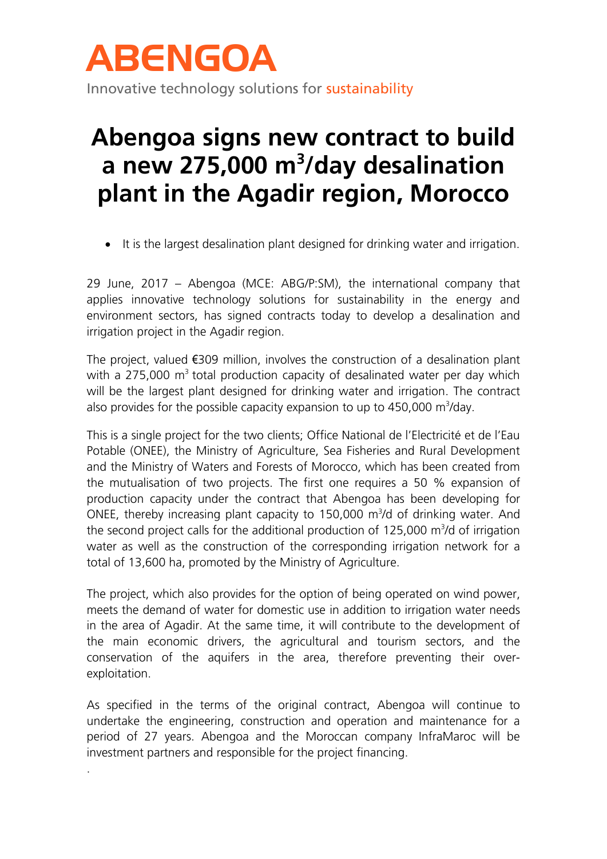

## **Abengoa signs new contract to build a new 275,000 m<sup>3</sup> /day desalination plant in the Agadir region, Morocco**

It is the largest desalination plant designed for drinking water and irrigation.

29 June, 2017 – Abengoa (MCE: ABG/P:SM), the international company that applies innovative technology solutions for sustainability in the energy and environment sectors, has signed contracts today to develop a desalination and irrigation project in the Agadir region.

The project, valued €309 million, involves the construction of a desalination plant with a 275,000  $m<sup>3</sup>$  total production capacity of desalinated water per day which will be the largest plant designed for drinking water and irrigation. The contract also provides for the possible capacity expansion to up to  $450,000$  m<sup>3</sup>/day.

This is a single project for the two clients; Office National de l'Electricité et de l'Eau Potable (ONEE), the Ministry of Agriculture, Sea Fisheries and Rural Development and the Ministry of Waters and Forests of Morocco, which has been created from the mutualisation of two projects. The first one requires a 50 % expansion of production capacity under the contract that Abengoa has been developing for ONEE, thereby increasing plant capacity to  $150,000$  m<sup>3</sup>/d of drinking water. And the second project calls for the additional production of 125,000  $m^3/d$  of irrigation water as well as the construction of the corresponding irrigation network for a total of 13,600 ha, promoted by the Ministry of Agriculture.

The project, which also provides for the option of being operated on wind power, meets the demand of water for domestic use in addition to irrigation water needs in the area of Agadir. At the same time, it will contribute to the development of the main economic drivers, the agricultural and tourism sectors, and the conservation of the aquifers in the area, therefore preventing their overexploitation.

As specified in the terms of the original contract, Abengoa will continue to undertake the engineering, construction and operation and maintenance for a period of 27 years. Abengoa and the Moroccan company InfraMaroc will be investment partners and responsible for the project financing.

.